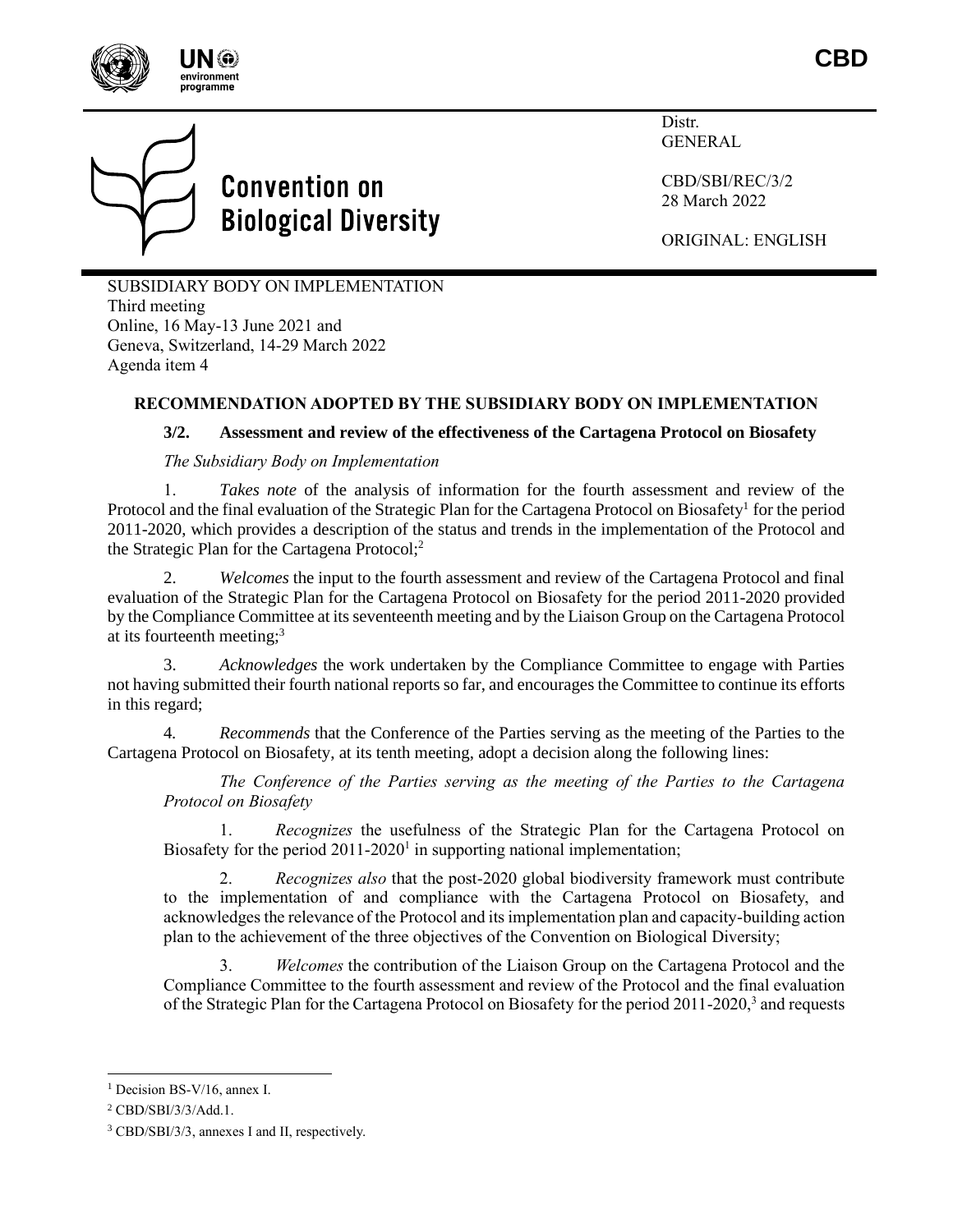



Distr. GENERAL

CBD/SBI/REC/3/2 28 March 2022

<span id="page-0-0"></span>ORIGINAL: ENGLISH

SUBSIDIARY BODY ON IMPLEMENTATION Third meeting Online, 16 May-13 June 2021 and Geneva, Switzerland, 14-29 March 2022 Agenda item 4

# **RECOMMENDATION ADOPTED BY THE SUBSIDIARY BODY ON IMPLEMENTATION**

## **3/2. Assessment and review of the effectiveness of the Cartagena Protocol on Biosafety**

### *The Subsidiary Body on Implementation*

1. *Takes note* of the analysis of information for the fourth assessment and review of the Protocol and the final evaluation of the Strategic Plan for the Cartagena Protocol on Biosafety<sup>1</sup> for the period 2011-2020, which provides a description of the status and trends in the implementation of the Protocol and the Strategic Plan for the Cartagena Protocol;<sup>2</sup>

2. *Welcomes* the input to the fourth assessment and review of the Cartagena Protocol and final evaluation of the Strategic Plan for the Cartagena Protocol on Biosafety for the period 2011-2020 provided by the Compliance Committee at its seventeenth meeting and by the Liaison Group on the Cartagena Protocol at its fourteenth meeting;<sup>3</sup>

<span id="page-0-1"></span>3. *Acknowledges* the work undertaken by the Compliance Committee to engage with Parties not having submitted their fourth national reports so far, and encourages the Committee to continue its efforts in this regard;

4*. Recommends* that the Conference of the Parties serving as the meeting of the Parties to the Cartagena Protocol on Biosafety, at its tenth meeting, adopt a decision along the following lines:

*The Conference of the Parties serving as the meeting of the Parties to the Cartagena Protocol on Biosafety*

1. *Recognizes* the usefulness of the Strategic Plan for the Cartagena Protocol on Biosafety for the period  $2011-2020<sup>1</sup>$  $2011-2020<sup>1</sup>$  $2011-2020<sup>1</sup>$  in supporting national implementation;

2. *Recognizes also* that the post-2020 global biodiversity framework must contribute to the implementation of and compliance with the Cartagena Protocol on Biosafety, and acknowledges the relevance of the Protocol and its implementation plan and capacity-building action plan to the achievement of the three objectives of the Convention on Biological Diversity;

3. *Welcomes* the contribution of the Liaison Group on the Cartagena Protocol and the Compliance Committee to the fourth assessment and review of the Protocol and the final evaluation of the Strategic Plan for the Cartagena Protocol on Biosafety for the period 2011-202[0,](#page-0-1)<sup>3</sup> and requests

<sup>&</sup>lt;sup>1</sup> Decision BS-V/16, annex I.

<sup>2</sup> CBD/SBI/3/3/Add.1.

<sup>3</sup> CBD/SBI/3/3, annexes I and II, respectively.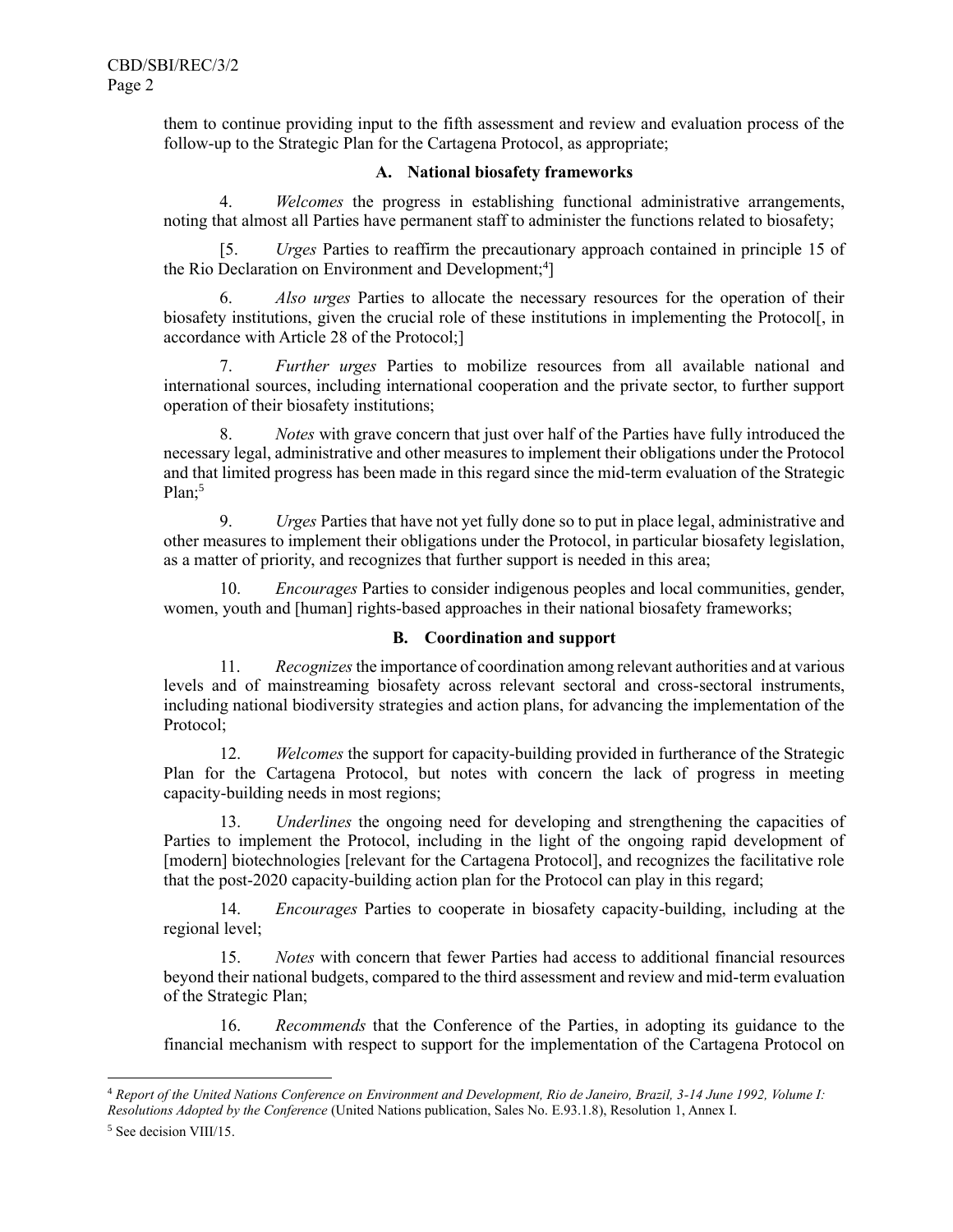them to continue providing input to the fifth assessment and review and evaluation process of the follow-up to the Strategic Plan for the Cartagena Protocol, as appropriate;

### **A. National biosafety frameworks**

4. *Welcomes* the progress in establishing functional administrative arrangements, noting that almost all Parties have permanent staff to administer the functions related to biosafety;

[5. *Urges* Parties to reaffirm the precautionary approach contained in principle 15 of the Rio Declaration on Environment and Development;<sup>4</sup>]

6. *Also urges* Parties to allocate the necessary resources for the operation of their biosafety institutions, given the crucial role of these institutions in implementing the Protocol[, in accordance with Article 28 of the Protocol;]

7. *Further urges* Parties to mobilize resources from all available national and international sources, including international cooperation and the private sector, to further support operation of their biosafety institutions;

8. *Notes* with grave concern that just over half of the Parties have fully introduced the necessary legal, administrative and other measures to implement their obligations under the Protocol and that limited progress has been made in this regard since the mid-term evaluation of the Strategic Plan:<sup>5</sup>

9. *Urges* Parties that have not yet fully done so to put in place legal, administrative and other measures to implement their obligations under the Protocol, in particular biosafety legislation, as a matter of priority, and recognizes that further support is needed in this area;

10. *Encourages* Parties to consider indigenous peoples and local communities, gender, women, youth and [human] rights-based approaches in their national biosafety frameworks;

## **B. Coordination and support**

11. *Recognizes*the importance of coordination among relevant authorities and at various levels and of mainstreaming biosafety across relevant sectoral and cross-sectoral instruments, including national biodiversity strategies and action plans, for advancing the implementation of the Protocol;

12. *Welcomes* the support for capacity-building provided in furtherance of the Strategic Plan for the Cartagena Protocol, but notes with concern the lack of progress in meeting capacity-building needs in most regions;

13. *Underlines* the ongoing need for developing and strengthening the capacities of Parties to implement the Protocol, including in the light of the ongoing rapid development of [modern] biotechnologies [relevant for the Cartagena Protocol], and recognizes the facilitative role that the post-2020 capacity-building action plan for the Protocol can play in this regard;

14. *Encourages* Parties to cooperate in biosafety capacity-building, including at the regional level;

15. *Notes* with concern that fewer Parties had access to additional financial resources beyond their national budgets, compared to the third assessment and review and mid-term evaluation of the Strategic Plan;

16. *Recommends* that the Conference of the Parties, in adopting its guidance to the financial mechanism with respect to support for the implementation of the Cartagena Protocol on

<sup>4</sup> *Report of the United Nations Conference on Environment and Development, Rio de Janeiro, Brazil, 3-14 June 1992, Volume I: Resolutions Adopted by the Conference* (United Nations publication, Sales No. E.93.1.8), Resolution 1, Annex I.

<sup>5</sup> See decision VIII/15.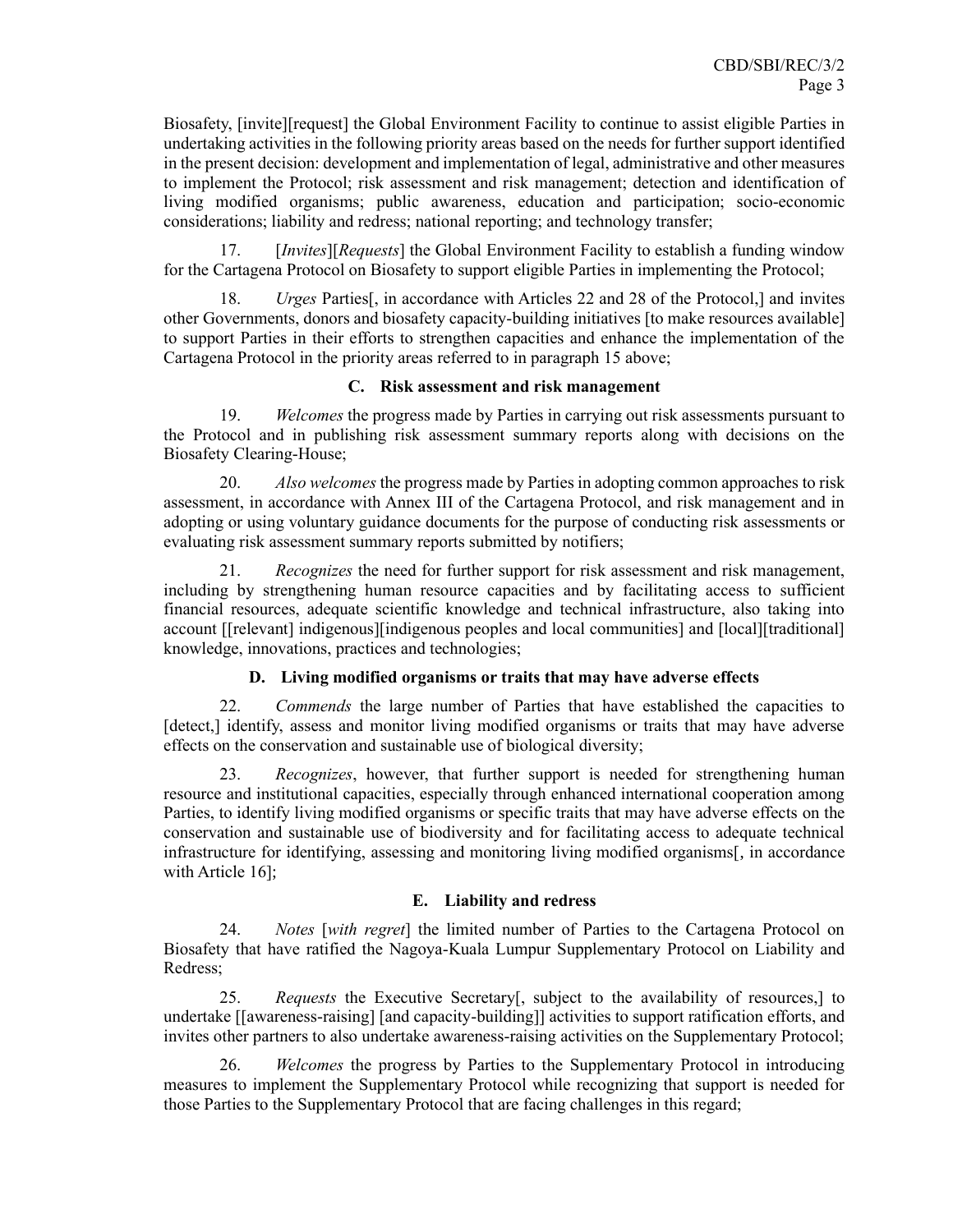Biosafety, [invite][request] the Global Environment Facility to continue to assist eligible Parties in undertaking activities in the following priority areas based on the needs for further support identified in the present decision: development and implementation of legal, administrative and other measures to implement the Protocol; risk assessment and risk management; detection and identification of living modified organisms; public awareness, education and participation; socio-economic considerations; liability and redress; national reporting; and technology transfer;

17. [*Invites*][*Requests*] the Global Environment Facility to establish a funding window for the Cartagena Protocol on Biosafety to support eligible Parties in implementing the Protocol;

18. *Urges* Parties[, in accordance with Articles 22 and 28 of the Protocol,] and invites other Governments, donors and biosafety capacity-building initiatives [to make resources available] to support Parties in their efforts to strengthen capacities and enhance the implementation of the Cartagena Protocol in the priority areas referred to in paragraph 15 above;

### **C. Risk assessment and risk management**

19. *Welcomes* the progress made by Parties in carrying out risk assessments pursuant to the Protocol and in publishing risk assessment summary reports along with decisions on the Biosafety Clearing-House;

20. *Also welcomes* the progress made by Parties in adopting common approaches to risk assessment, in accordance with Annex III of the Cartagena Protocol, and risk management and in adopting or using voluntary guidance documents for the purpose of conducting risk assessments or evaluating risk assessment summary reports submitted by notifiers;

21. *Recognizes* the need for further support for risk assessment and risk management, including by strengthening human resource capacities and by facilitating access to sufficient financial resources, adequate scientific knowledge and technical infrastructure, also taking into account [[relevant] indigenous][indigenous peoples and local communities] and [local][traditional] knowledge, innovations, practices and technologies;

## **D. Living modified organisms or traits that may have adverse effects**

22. *Commends* the large number of Parties that have established the capacities to [detect,] identify, assess and monitor living modified organisms or traits that may have adverse effects on the conservation and sustainable use of biological diversity;

23. *Recognizes*, however, that further support is needed for strengthening human resource and institutional capacities, especially through enhanced international cooperation among Parties, to identify living modified organisms or specific traits that may have adverse effects on the conservation and sustainable use of biodiversity and for facilitating access to adequate technical infrastructure for identifying, assessing and monitoring living modified organisms[, in accordance with Article 16];

## **E. Liability and redress**

24. *Notes* [*with regret*] the limited number of Parties to the Cartagena Protocol on Biosafety that have ratified the Nagoya-Kuala Lumpur Supplementary Protocol on Liability and Redress;

25. *Requests* the Executive Secretary[, subject to the availability of resources,] to undertake [[awareness-raising] [and capacity-building]] activities to support ratification efforts, and invites other partners to also undertake awareness-raising activities on the Supplementary Protocol;

26. *Welcomes* the progress by Parties to the Supplementary Protocol in introducing measures to implement the Supplementary Protocol while recognizing that support is needed for those Parties to the Supplementary Protocol that are facing challenges in this regard;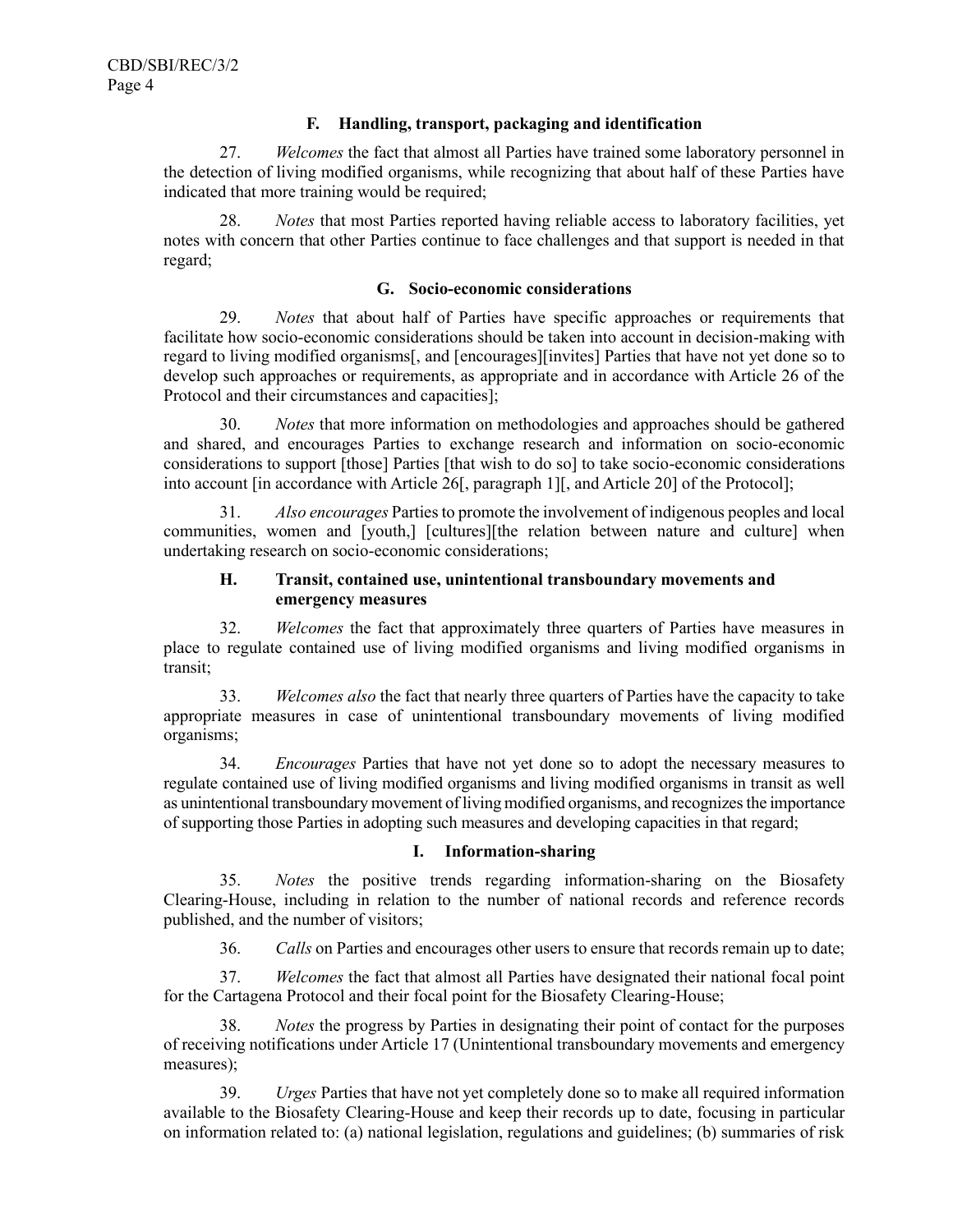### **F. Handling, transport, packaging and identification**

27. *Welcomes* the fact that almost all Parties have trained some laboratory personnel in the detection of living modified organisms, while recognizing that about half of these Parties have indicated that more training would be required;

28. *Notes* that most Parties reported having reliable access to laboratory facilities, yet notes with concern that other Parties continue to face challenges and that support is needed in that regard;

### **G. Socio-economic considerations**

29. *Notes* that about half of Parties have specific approaches or requirements that facilitate how socio-economic considerations should be taken into account in decision-making with regard to living modified organisms[, and [encourages][invites] Parties that have not yet done so to develop such approaches or requirements, as appropriate and in accordance with Article 26 of the Protocol and their circumstances and capacities];

30. *Notes* that more information on methodologies and approaches should be gathered and shared, and encourages Parties to exchange research and information on socio-economic considerations to support [those] Parties [that wish to do so] to take socio-economic considerations into account [in accordance with Article 26[, paragraph 1][, and Article 20] of the Protocol];

31. *Also encourages* Parties to promote the involvement of indigenous peoples and local communities, women and [youth,] [cultures][the relation between nature and culture] when undertaking research on socio-economic considerations;

## **H. Transit, contained use, unintentional transboundary movements and emergency measures**

32. *Welcomes* the fact that approximately three quarters of Parties have measures in place to regulate contained use of living modified organisms and living modified organisms in transit;

33. *Welcomes also* the fact that nearly three quarters of Parties have the capacity to take appropriate measures in case of unintentional transboundary movements of living modified organisms;

34. *Encourages* Parties that have not yet done so to adopt the necessary measures to regulate contained use of living modified organisms and living modified organisms in transit as well as unintentional transboundary movement of living modified organisms, and recognizesthe importance of supporting those Parties in adopting such measures and developing capacities in that regard;

## **I. Information-sharing**

35. *Notes* the positive trends regarding information-sharing on the Biosafety Clearing-House, including in relation to the number of national records and reference records published, and the number of visitors;

36. *Calls* on Parties and encourages other users to ensure that records remain up to date;

37. *Welcomes* the fact that almost all Parties have designated their national focal point for the Cartagena Protocol and their focal point for the Biosafety Clearing-House;

38. *Notes* the progress by Parties in designating their point of contact for the purposes of receiving notifications under Article 17 (Unintentional transboundary movements and emergency measures);

39. *Urges* Parties that have not yet completely done so to make all required information available to the Biosafety Clearing-House and keep their records up to date, focusing in particular on information related to: (a) national legislation, regulations and guidelines; (b) summaries of risk